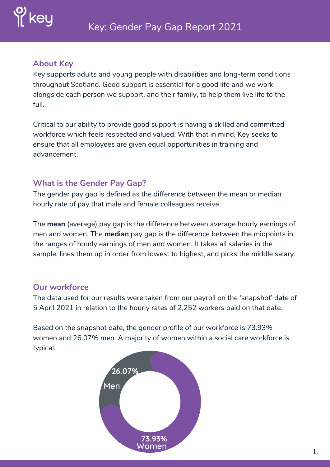

#### **About Key**

Key supports adults and young people with disabilities and long-term conditions throughout Scotland. Good support is essential for a good life and we work alongside each person we support, and their family, to help them live life to the full.

Critical to our ability to provide good support is having a skilled and committed workforce which feels respected and valued. With that in mind, Key seeks to ensure that all employees are given equal opportunities in training and advancement.

# **What is the Gender Pay Gap?**

The gender pay gap is defined as the difference between the mean or median hourly rate of pay that male and female colleagues receive.

The **mean** (average) pay gap is the difference between average hourly earnings of men and women. The **median** pay gap is the difference between the midpoints in the ranges of hourly earnings of men and women. It takes all salaries in the sample, lines them up in order from lowest to highest, and picks the middle salary.

# **Our workforce**

The data used for our results were taken from our payroll on the 'snapshot' date of 5 April 2021 in relation to the hourly rates of 2,252 workers paid on that date.

Based on the snapshot date, the gender profile of our workforce is 73.93% women and 26.07% men. A majority of women within a social care workforce is typical.

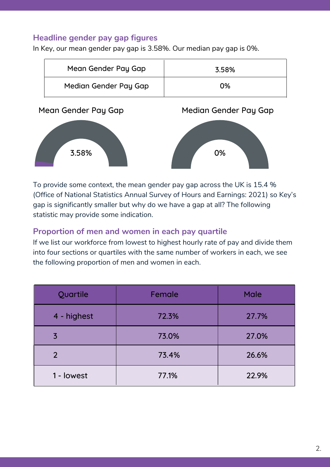### **Headline gender pay gap figures**

In Key, our mean gender pay gap is 3.58%. Our median pay gap is 0%.

3.58% 0%

|                     | Mean Gender Pay Gap   | 3.58%                 |  |
|---------------------|-----------------------|-----------------------|--|
|                     | Median Gender Pay Gap | 0%                    |  |
| Mean Gender Pay Gap |                       | Median Gender Pay Gap |  |
|                     |                       |                       |  |

To provide some context, the mean gender pay gap across the UK is 15.4 % (Office of National Statistics Annual Survey of Hours and Earnings: 2021) so Key's gap is significantly smaller but why do we have a gap at all? The following statistic may provide some indication.

#### **Proportion of men and women in each pay quartile**

If we list our workforce from lowest to highest hourly rate of pay and divide them into four sections or quartiles with the same number of workers in each, we see the following proportion of men and women in each.

| Quartile       | Female | <b>Male</b> |
|----------------|--------|-------------|
| 4 - highest    | 72.3%  | 27.7%       |
| $\overline{3}$ | 73.0%  | 27.0%       |
| $\overline{2}$ | 73.4%  | 26.6%       |
| 1 - lowest     | 77.1%  | 22.9%       |